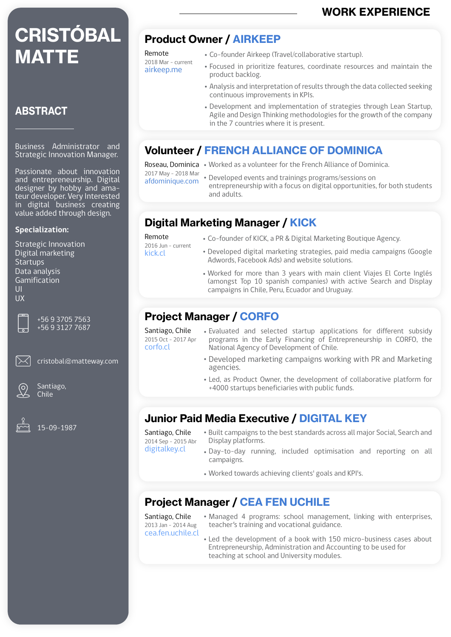# **CRISTÓBAL MATTE**

### **ABSTRACT**

Business Administrator and Strategic Innovation Manager.

Passionate about innovation and entrepreneurship. Digital designer by hobby and amateur developer. Very Interested in digital business creating value added through design.

#### **Specialization:**

Strategic Innovation Digital marketing **Startups** Data analysis Gamification UI UX

> +56 9 3705 7563 +56 9 3127 7687

cristobal@matteway.com



Santiago, Chile



15-09-1987

# Product Owner / AIRKEEP

Co-founder Airkeep (Travel/collaborative startup).

- Focused in prioritize features, coordinate resources and maintain the product backlog.
- Analysis and interpretation of results through the data collected seeking continuous improvements in KPIs.
- Development and implementation of strategies through Lean Startup, Agile and Design Thinking methodologies for the growth of the company in the 7 countries where it is present.

## Volunteer / FRENCH ALLIANCE OF DOMINICA

Remote 2018 Mar - current airkeep.me

Roseau, Dominica • Worked as a volunteer for the French Alliance of Dominica.

2017 May - 2018 Mar

- afdominique.com
- 
- Developed events and trainings programs/sessions on entrepreneurship with a focus on digital opportunities, for both students and adults.

## Digital Marketing Manager / KICK

Remote 2016 Jun - current

- kick.cl
- Co-founder of KICK, a PR & Digital Marketing Boutique Agency.
- Developed digital marketing strategies, paid media campaigns (Google Adwords, Facebook Ads) and website solutions.
- Worked for more than 3 years with main client Viajes El Corte Inglés (amongst Top 10 spanish companies) with active Search and Display campaigns in Chile, Peru, Ecuador and Uruguay.

### Project Manager / CORFO

Santiago, Chile 2015 Oct - 2017 Apr corfo.cl

- Evaluated and selected startup applications for different subsidy programs in the Early Financing of Entrepreneurship in CORFO, the National Agency of Development of Chile.
	- Developed marketing campaigns working with PR and Marketing agencies.
	- Led, as Product Owner, the development of collaborative platform for +4000 startups beneficiaries with public funds.

## Junior Paid Media Executive / DIGITAL KEY

Santiago, Chile 2014 Sep - 2015 Abr

- Built campaigns to the best standards across all major Social, Search and Display platforms.
- digitalkey.cl Day-to-day running, included optimisation and reporting on all campaigns.
	- Worked towards achieving clients' goals and KPI's.

## Project Manager / CEA FEN UCHILE

Santiago, Chile 2013 Jan - 2014 Aug cea.fen.uchile.cl

- Managed 4 programs: school management, linking with enterprises, teacher's training and vocational guidance.
- Led the development of a book with 150 micro-business cases about Entrepreneurship, Administration and Accounting to be used for teaching at school and University modules.